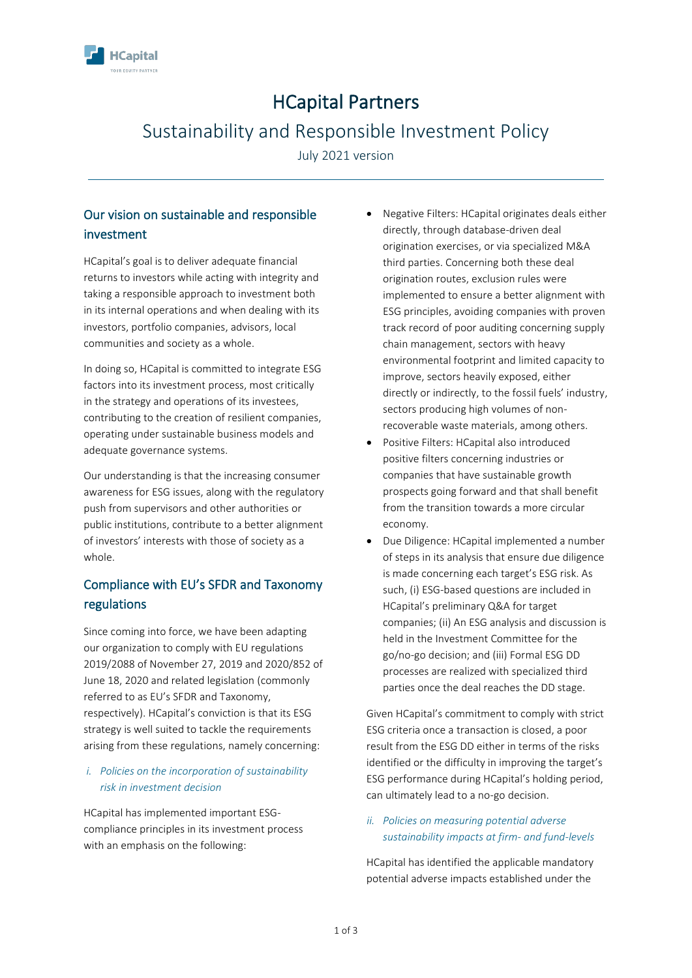

# HCapital Partners

## Sustainability and Responsible Investment Policy

July 2021 version

### Our vision on sustainable and responsible investment

HCapital's goal is to deliver adequate financial returns to investors while acting with integrity and taking a responsible approach to investment both in its internal operations and when dealing with its investors, portfolio companies, advisors, local communities and society as a whole.

In doing so, HCapital is committed to integrate ESG factors into its investment process, most critically in the strategy and operations of its investees, contributing to the creation of resilient companies, operating under sustainable business models and adequate governance systems.

Our understanding is that the increasing consumer awareness for ESG issues, along with the regulatory push from supervisors and other authorities or public institutions, contribute to a better alignment of investors' interests with those of society as a whole.

### Compliance with EU's SFDR and Taxonomy regulations

Since coming into force, we have been adapting our organization to comply with EU regulations 2019/2088 of November 27, 2019 and 2020/852 of June 18, 2020 and related legislation (commonly referred to as EU's SFDR and Taxonomy, respectively). HCapital's conviction is that its ESG strategy is well suited to tackle the requirements arising from these regulations, namely concerning:

### *i. Policies on the incorporation of sustainability risk in investment decision*

HCapital has implemented important ESGcompliance principles in its investment process with an emphasis on the following:

- Negative Filters: HCapital originates deals either directly, through database-driven deal origination exercises, or via specialized M&A third parties. Concerning both these deal origination routes, exclusion rules were implemented to ensure a better alignment with ESG principles, avoiding companies with proven track record of poor auditing concerning supply chain management, sectors with heavy environmental footprint and limited capacity to improve, sectors heavily exposed, either directly or indirectly, to the fossil fuels' industry, sectors producing high volumes of nonrecoverable waste materials, among others.
- Positive Filters: HCapital also introduced positive filters concerning industries or companies that have sustainable growth prospects going forward and that shall benefit from the transition towards a more circular economy.
- Due Diligence: HCapital implemented a number of steps in its analysis that ensure due diligence is made concerning each target's ESG risk. As such, (i) ESG-based questions are included in HCapital's preliminary Q&A for target companies; (ii) An ESG analysis and discussion is held in the Investment Committee for the go/no-go decision; and (iii) Formal ESG DD processes are realized with specialized third parties once the deal reaches the DD stage.

Given HCapital's commitment to comply with strict ESG criteria once a transaction is closed, a poor result from the ESG DD either in terms of the risks identified or the difficulty in improving the target's ESG performance during HCapital's holding period, can ultimately lead to a no-go decision.

### *ii. Policies on measuring potential adverse sustainability impacts at firm- and fund-levels*

HCapital has identified the applicable mandatory potential adverse impacts established under the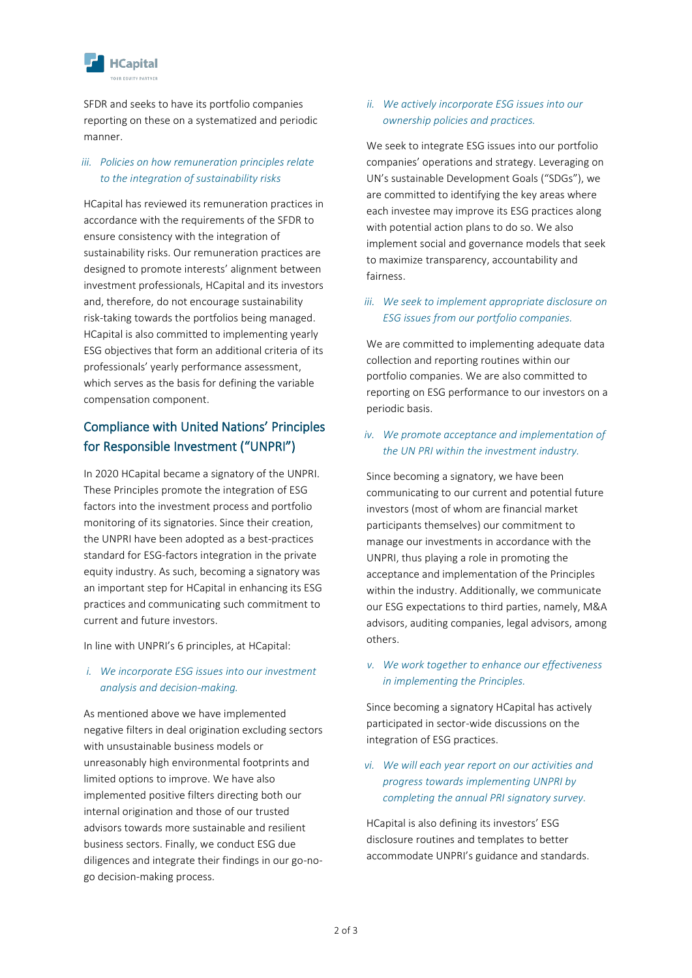

SFDR and seeks to have its portfolio companies reporting on these on a systematized and periodic manner.

### *iii. Policies on how remuneration principles relate to the integration of sustainability risks*

HCapital has reviewed its remuneration practices in accordance with the requirements of the SFDR to ensure consistency with the integration of sustainability risks. Our remuneration practices are designed to promote interests' alignment between investment professionals, HCapital and its investors and, therefore, do not encourage sustainability risk-taking towards the portfolios being managed. HCapital is also committed to implementing yearly ESG objectives that form an additional criteria of its professionals' yearly performance assessment, which serves as the basis for defining the variable compensation component.

### Compliance with United Nations' Principles for Responsible Investment ("UNPRI")

In 2020 HCapital became a signatory of the UNPRI. These Principles promote the integration of ESG factors into the investment process and portfolio monitoring of its signatories. Since their creation, the UNPRI have been adopted as a best-practices standard for ESG-factors integration in the private equity industry. As such, becoming a signatory was an important step for HCapital in enhancing its ESG practices and communicating such commitment to current and future investors.

In line with UNPRI's 6 principles, at HCapital:

### *i. We incorporate ESG issues into our investment analysis and decision-making.*

As mentioned above we have implemented negative filters in deal origination excluding sectors with unsustainable business models or unreasonably high environmental footprints and limited options to improve. We have also implemented positive filters directing both our internal origination and those of our trusted advisors towards more sustainable and resilient business sectors. Finally, we conduct ESG due diligences and integrate their findings in our go-nogo decision-making process.

#### *ii. We actively incorporate ESG issues into our ownership policies and practices.*

We seek to integrate ESG issues into our portfolio companies' operations and strategy. Leveraging on UN's sustainable Development Goals ("SDGs"), we are committed to identifying the key areas where each investee may improve its ESG practices along with potential action plans to do so. We also implement social and governance models that seek to maximize transparency, accountability and fairness.

### *iii. We seek to implement appropriate disclosure on ESG issues from our portfolio companies.*

We are committed to implementing adequate data collection and reporting routines within our portfolio companies. We are also committed to reporting on ESG performance to our investors on a periodic basis.

### *iv. We promote acceptance and implementation of the UN PRI within the investment industry.*

Since becoming a signatory, we have been communicating to our current and potential future investors (most of whom are financial market participants themselves) our commitment to manage our investments in accordance with the UNPRI, thus playing a role in promoting the acceptance and implementation of the Principles within the industry. Additionally, we communicate our ESG expectations to third parties, namely, M&A advisors, auditing companies, legal advisors, among others.

### *v. We work together to enhance our effectiveness in implementing the Principles.*

Since becoming a signatory HCapital has actively participated in sector-wide discussions on the integration of ESG practices.

*vi. We will each year report on our activities and progress towards implementing UNPRI by completing the annual PRI signatory survey.*

HCapital is also defining its investors' ESG disclosure routines and templates to better accommodate UNPRI's guidance and standards.